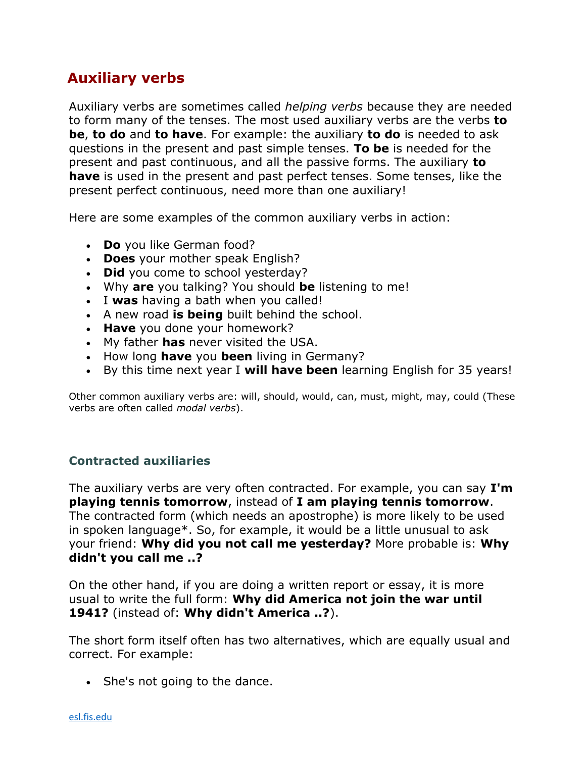## **Auxiliary verbs**

Auxiliary verbs are sometimes called *helping verbs* because they are needed to form many of the tenses. The most used auxiliary verbs are the verbs **to be**, **to do** and **to have**. For example: the auxiliary **to do** is needed to ask questions in the present and past simple tenses. **To be** is needed for the present and past continuous, and all the passive forms. The auxiliary **to have** is used in the present and past perfect tenses. Some tenses, like the present perfect continuous, need more than one auxiliary!

Here are some examples of the common auxiliary verbs in action:

- **Do** you like German food?
- **Does** your mother speak English?
- **Did** you come to school yesterday?
- Why **are** you talking? You should **be** listening to me!
- I **was** having a bath when you called!
- A new road **is being** built behind the school.
- **Have** you done your homework?
- My father **has** never visited the USA.
- How long **have** you **been** living in Germany?
- By this time next year I **will have been** learning English for 35 years!

Other common auxiliary verbs are: will, should, would, can, must, might, may, could (These verbs are often called *modal verbs*).

## **Contracted auxiliaries**

The auxiliary verbs are very often contracted. For example, you can say **I'm playing tennis tomorrow**, instead of **I am playing tennis tomorrow**. The contracted form (which needs an apostrophe) is more likely to be used in spoken language\*. So, for example, it would be a little unusual to ask your friend: **Why did you not call me yesterday?** More probable is: **Why didn't you call me ..?**

On the other hand, if you are doing a written report or essay, it is more usual to write the full form: **Why did America not join the war until 1941?** (instead of: **Why didn't America ..?**).

The short form itself often has two alternatives, which are equally usual and correct. For example:

• She's not going to the dance.